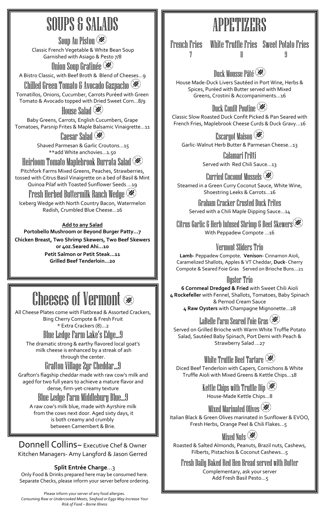## SOUPS & SALADS

Soup Au Pistou Classic French Vegetable & White Bean Soup Garnished with Asiago & Pesto 7/8 Onion Soup Gratinée

A Bistro Classic, with Beef Broth & Blend of Cheeses…9

Chilled Green Tomato & Avocado Gazpacho Tomatillos, Onions, Cucumber, Carrots Puréed with Green Tomato & Avocado topped with Dried Sweet Corn…8/9

House Salad **(※)** 

Baby Greens, Carrots, English Cucumbers, Grape Tomatoes, Parsnip Frites & Maple Balsamic Vinaigrette…11

Caesar Salad (**\***) Shaved Parmesan & Garlic Croutons…15 \*\*add White anchovies…1.50

Heirloom Tomato Maplebrook Burrata Salad

Pitchfork Farms Mixed Greens, Peaches, Strawberries, tossed with Citrus Basil Vinaigrette on a bed of Basil & Mint Quinoa Pilaf with Toasted Sunflower Seeds …19

Fresh Herbed Buttermilk Ranch Wedge

Iceberg Wedge with North Country Bacon, Watermelon Radish, Crumbled Blue Cheese...16

**Add to any Salad**

**Portobello Mushroom or Beyond Burger Patty…7 Chicken Breast, Two Shrimp Skewers, Two Beef Skewers or 4oz.Seared Ahi…10 Petit Salmon or Petit Steak…11 Grilled Beef Tenderloin…20**

## Cheeses of Vermont

All Cheese Plates come with Flatbread & Assorted Crackers, Bing Cherry Compote & Fresh Fruit

\* Extra Crackers (8)…2 Blue Ledge Farm Lake's Edge…9

The dramatic strong & earthy flavored local goat's milk cheese is enhanced by a streak of ash through the center.

#### Grafton Village 2yr Cheddar...9

Grafton's flagship cheddar made with raw cow's milk and aged for two full years to achieve a mature flavor and dense, firm-yet-creamy texture

#### Blue Ledge Farm Middlebury Blue…9

A raw cow's milk blue, made with Ayrshire milk from the cows next door. Aged sixty days, it is both creamy and crumbly between Camembert & Brie.

Donnell Collins~ Executive Chef & Owner Kitchen Managers- Amy Langford & Jason Gerred

#### **Split Entrée Charge**…3

Only Food & Drinks prepared here may be consumed here. Separate Checks, please inform your server before ordering.

Please inform your server of any food allergies. *Consuming Raw or Undercooked Meats, Seafood or Eggs May Increase Your Risk of Food – Borne Illness*

# APPETIZERS

French Fries White Truffle Fries Sweet Potato Fries

Duck Mousse Pâté

House Made-Duck Livers Sautéed in Port Wine, Herbs & Spices, Puréed with Butter served with Mixed Greens, Crostini & Accompaniments…16

Duck Confit Poutine  $\mathscr{\mathscr{E}}$ Classic Slow Roasted Duck Confit Picked & Pan Seared with French Fries, Maplebrook Cheese Curds & Duck Gravy…16

Escargot Maison  $\mathscr{L}$ Garlic-Walnut Herb Butter & Parmesan Cheese…13

> Calamari Fritti Served with Red Chili Sauce…13

Curried Coconut Mussels Steamed in a Green Curry Coconut Sauce, White Wine, Shoestring Leeks & Carrots…16

Graham Cracker Crusted Duck Frites Served with a Chili Maple Dipping Sauce…14

Citrus Garlic & Herb Infused Shrimp & Beef Skewers With Peppadew Compote …16

Vermont Sliders Trio

**Lamb**- Peppadew Compote, **Venison-** Cinnamon Aioli, Caramelized Shallots, Apples & VT Cheddar, **Duck**- Cherry Compote & Seared Foie Gras Served on Brioche Buns...21

Ouster Trio

**6 Cornmeal Dredged & Fried** with Sweet Chili Aioli **4 Rockefeller** with Fennel, Shallots, Tomatoes, Baby Spinach & Pernod Cream Sauce **4 Raw Oysters** with Champagne Mignonette…28

LaBelle Farm Seared Foie Gras  $\mathscr{F}$ 

Served on Grilled Brioche with Warm White Truffle Potato Salad, Sautéed Baby Spinach, Port Demi with Peach & Strawberry Salad …27

White Truffle Beef Tartare  $\mathscr{\divideontimes}$ 

Diced Beef Tenderloin with Capers, Cornichons & White Truffle Aioli with Mixed Greens & Kettle Chips...18

> Kettle Chips with Truffle Dip House-Made Kettle Chips…8

Mixed Marinated Olives  $(\mathscr{K})$ Italian Black & Green Olives marinated in Sunflower & EVOO, Fresh Herbs, Orange Peel & Chili Flakes…5

Mixed Nuts  $\circledast$ 

Roasted & Salted Almonds, Peanuts, Brazil nuts, Cashews, Filberts, Pistachios & Coconut Cashews…5

Fresh Daily Baked Red Hen Bread served with Butter Complementary, ask your server Add Fresh Basil Pesto…5